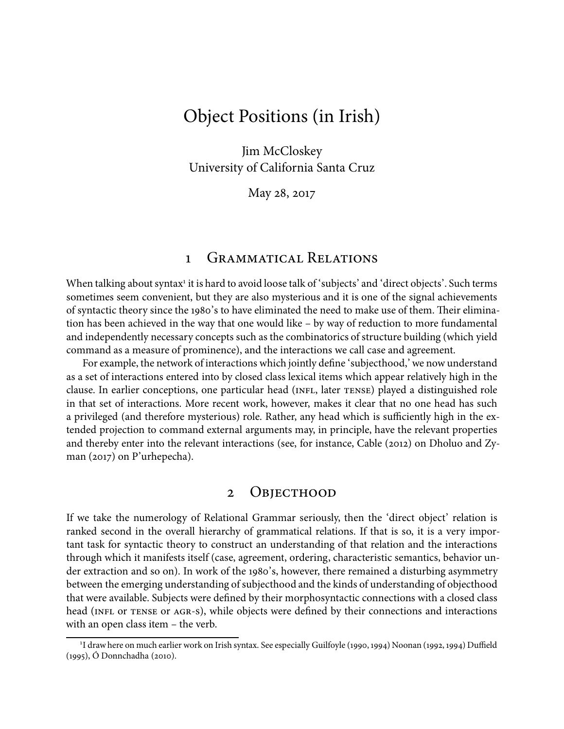# Object Positions (in Irish)

Jim McCloskey University of California Santa Cruz

May 28, 2017

### 1 GRAMMATICAL RELATIONS

When talking about syntax<sup>1</sup> it is hard to avoid loose talk of 'subjects' and 'direct objects'. Such terms sometimes seem convenient, but they are also mysterious and it is one of the signal achievements of syntactic theory since the 1980's to have eliminated the need to make use of them. Their elimination has been achieved in the way that one would like – by way of reduction to more fundamental and independently necessary concepts such as the combinatorics of structure building (which yield command as a measure of prominence), and the interactions we call case and agreement.

For example, the network of interactions which jointly define 'subjecthood,' we now understand as a set of interactions entered into by closed class lexical items which appear relatively high in the clause. In earlier conceptions, one particular head (INFL, later TENSE) played a distinguished role in that set of interactions. More recent work, however, makes it clear that no one head has such a privileged (and therefore mysterious) role. Rather, any head which is sufficiently high in the extended projection to command external arguments may, in principle, have the relevant properties and thereby enter into the relevant interactions (see, for instance, Cable  $(2012)$  on Dholuo and Zyman  $(2017)$  on P'urhepecha).

### 2 OBJECTHOOD

If we take the numerology of Relational Grammar seriously, then the 'direct object' relation is ranked second in the overall hierarchy of grammatical relations. If that is so, it is a very important task for syntactic theory to construct an understanding of that relation and the interactions through which it manifests itself (case, agreement, ordering, characteristic semantics, behavior under extraction and so on). In work of the 1980's, however, there remained a disturbing asymmetry between the emerging understanding of subjecthood and the kinds of understanding of objecthood that were available. Subjects were defined by their morphosyntactic connections with a closed class head (INFL OT TENSE OT AGR-S), while objects were defined by their connections and interactions with an open class item – the verb.

<sup>&</sup>lt;sup>1</sup>I draw here on much earlier work on Irish syntax. See especially Guilfoyle (1990, 1994) Noonan (1992, 1994) Duffield (1995), Ó Donnchadha (2010).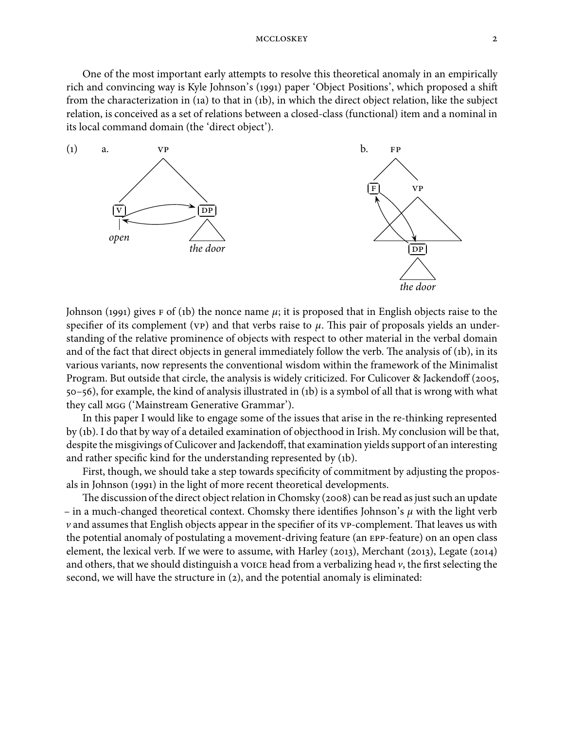One of the most important early attempts to resolve this theoretical anomaly in an empirically rich and convincing way is Kyle Johnson's (1991) paper 'Object Positions', which proposed a shift from the characterization in (1a) to that in (1b), in which the direct object relation, like the subject relation, is conceived as a set of relations between a closed-class (functional) item and a nominal in its local command domain (the 'direct object').



Johnson (1991) gives  $F$  of (1b) the nonce name  $\mu$ ; it is proposed that in English objects raise to the specifier of its complement ( $VP$ ) and that verbs raise to  $\mu$ . This pair of proposals yields an understanding of the relative prominence of objects with respect to other material in the verbal domain and of the fact that direct objects in general immediately follow the verb. The analysis of  $(1b)$ , in its various variants, now represents the conventional wisdom within the framework of the Minimalist Program. But outside that circle, the analysis is widely criticized. For Culicover & Jackendoff (2005,  $50 - 56$ , for example, the kind of analysis illustrated in (1b) is a symbol of all that is wrong with what they call MGG ('Mainstream Generative Grammar').

In this paper I would like to engage some of the issues that arise in the re-thinking represented by (b). I do that by way of a detailed examination of objecthood in Irish. My conclusion will be that, despite the misgivings of Culicover and Jackendoff, that examination yields support of an interesting and rather specific kind for the understanding represented by (1b).

First, though, we should take a step towards specificity of commitment by adjusting the proposals in Johnson (1991) in the light of more recent theoretical developments.

The discussion of the direct object relation in Chomsky (2008) can be read as just such an update – in a much-changed theoretical context. Chomsky there identifies Johnson's  $\mu$  with the light verb  $\nu$  and assumes that English objects appear in the specifier of its  $v$ P-complement. That leaves us with the potential anomaly of postulating a movement-driving feature (an EPP-feature) on an open class element, the lexical verb. If we were to assume, with Harley (2013), Merchant (2013), Legate (2014) and others, that we should distinguish a voice head from a verbalizing head  $\nu$ , the first selecting the second, we will have the structure in  $(2)$ , and the potential anomaly is eliminated: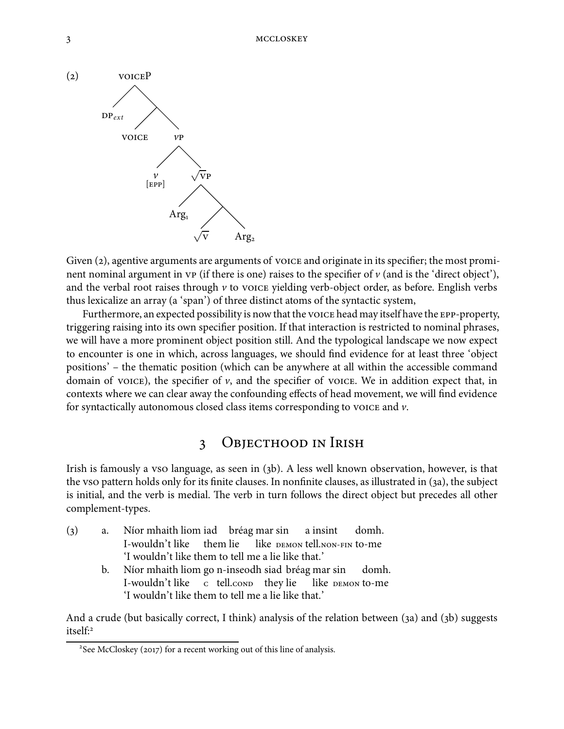

Given  $(2)$ , agentive arguments are arguments of voice and originate in its specifier; the most prominent nominal argument in  $VP$  (if there is one) raises to the specifier of  $v$  (and is the 'direct object'), and the verbal root raises through  $\nu$  to voice yielding verb-object order, as before. English verbs thus lexicalize an array (a 'span') of three distinct atoms of the syntactic system,

Furthermore, an expected possibility is now that the voice head may itself have the EPP-property, triggering raising into its own specifier position. If that interaction is restricted to nominal phrases, we will have a more prominent object position still. And the typological landscape we now expect to encounter is one in which, across languages, we should find evidence for at least three 'object positions' – the thematic position (which can be anywhere at all within the accessible command domain of voice), the specifier of  $\nu$ , and the specifier of voice. We in addition expect that, in contexts where we can clear away the confounding effects of head movement, we will find evidence for syntactically autonomous closed class items corresponding to voice and  $\nu$ .

## 3 OBJECTHOOD IN IRISH

Irish is famously a vso language, as seen in (3b). A less well known observation, however, is that the vso pattern holds only for its finite clauses. In nonfinite clauses, as illustrated in (3a), the subject is initial, and the verb is medial. The verb in turn follows the direct object but precedes all other complement-types.

() a. Níor mhaith liom iad bréag mar sin I-wouldn't like them lie like **DEMON tell.NON-FIN to-me** a insint domh. 'I wouldn't like them to tell me a lie like that.' b. Níor mhaith liom go n-inseodh siad bréag mar sin I-wouldn't like c tell.conp they lie like DEMON to-me domh.

'I wouldn't like them to tell me a lie like that.'

And a crude (but basically correct, I think) analysis of the relation between (3a) and (3b) suggests itself:

 $2$ See McCloskey (2017) for a recent working out of this line of analysis.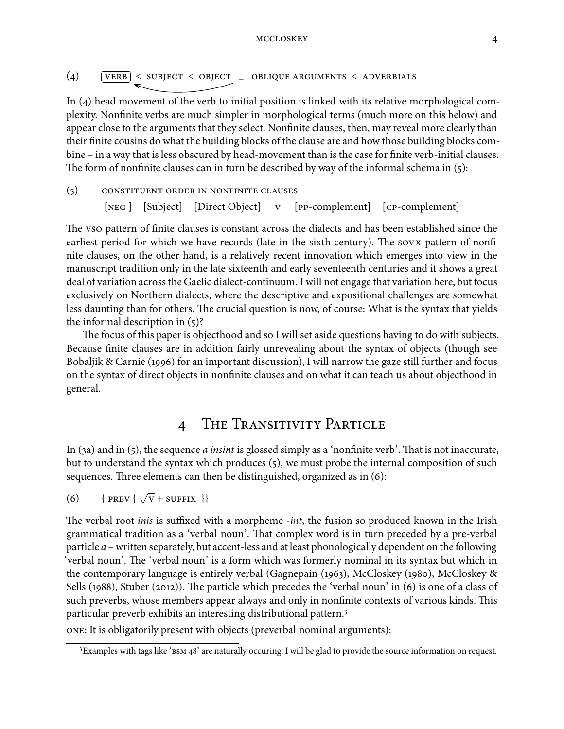#### MCCLOSKEY 4

$$
(4) \qquad \boxed{\text{VERB}} \leq \text{SUBJECT} \leq \text{OBJECT} \quad \text{OBIIQUE ARGUMENTS} \leq \text{ADVERBIALS}
$$

In  $(4)$  head movement of the verb to initial position is linked with its relative morphological complexity. Nonfinite verbs are much simpler in morphological terms (much more on this below) and appear close to the arguments that they select. Nonfinite clauses, then, may reveal more clearly than their finite cousins do what the building blocks of the clause are and how those building blocks combine – in a way that is less obscured by head-movement than is the case for finite verb-initial clauses. The form of nonfinite clauses can in turn be described by way of the informal schema in  $(5)$ :

 $(5)$  CONSTITUENT ORDER IN NONFINITE CLAUSES [NEG] [Subject] [Direct Object] v [PP-complement] [CP-complement]

The vso pattern of finite clauses is constant across the dialects and has been established since the earliest period for which we have records (late in the sixth century). The sovx pattern of nonfinite clauses, on the other hand, is a relatively recent innovation which emerges into view in the manuscript tradition only in the late sixteenth and early seventeenth centuries and it shows a great deal of variation across the Gaelic dialect-continuum. I will not engage that variation here, but focus exclusively on Northern dialects, where the descriptive and expositional challenges are somewhat less daunting than for others. The crucial question is now, of course: What is the syntax that yields the informal description in  $(5)$ ?

The focus of this paper is objecthood and so I will set aside questions having to do with subjects. Because finite clauses are in addition fairly unrevealing about the syntax of objects (though see Bobaljik & Carnie (1996) for an important discussion), I will narrow the gaze still further and focus on the syntax of direct objects in nonfinite clauses and on what it can teach us about objecthood in general.

## 4 THE TRANSITIVITY PARTICLE

In (3a) and in (5), the sequence *a insint* is glossed simply as a 'nonfinite verb'. That is not inaccurate, but to understand the syntax which produces (5), we must probe the internal composition of such sequences. Three elements can then be distinguished, organized as in  $(6)$ :

(6) {PREV 
$$
\{\sqrt{V} + \text{SUFFIX }\}
$$

The verbal root *inis* is suffixed with a morpheme *-int*, the fusion so produced known in the Irish grammatical tradition as a 'verbal noun'. That complex word is in turn preceded by a pre-verbal particle  $a$  – written separately, but accent-less and at least phonologically dependent on the following 'verbal noun'. The 'verbal noun' is a form which was formerly nominal in its syntax but which in the contemporary language is entirely verbal (Gagnepain (1963), McCloskey (1980), McCloskey  $\&$ Sells (1988), Stuber (2012)). The particle which precedes the 'verbal noun' in (6) is one of a class of such preverbs, whose members appear always and only in nonfinite contexts of various kinds. This particular preverb exhibits an interesting distributional pattern.

: It is obligatorily present with objects (preverbal nominal arguments):

<sup>&</sup>lt;sup>3</sup> Examples with tags like 'BSM 48' are naturally occuring. I will be glad to provide the source information on request.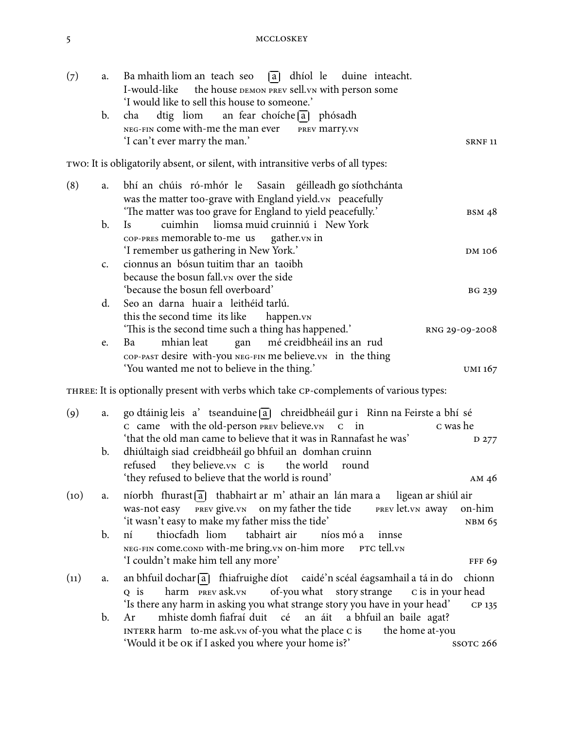| (7)               | a.             | a dhíol le duine inteacht.<br>Ba mhaith liom an teach seo<br>I-would-like the house DEMON PREV sell. VN with person some                                                                                                                   |
|-------------------|----------------|--------------------------------------------------------------------------------------------------------------------------------------------------------------------------------------------------------------------------------------------|
|                   | b.             | 'I would like to sell this house to someone.'<br>dtig liom an fear choíche $\lceil a \rceil$ phósadh<br>cha<br>NEG-FIN come with-me the man ever<br>PREV Marry. VN<br>'I can't ever marry the man.'<br><b>SRNF 11</b>                      |
|                   |                | TWO: It is obligatorily absent, or silent, with intransitive verbs of all types:                                                                                                                                                           |
| (8)               | a.             | bhí an chúis ró-mhór le Sasain géilleadh go síothchánta<br>was the matter too-grave with England yield.vn peacefully<br>'The matter was too grave for England to yield peacefully.'<br><b>BSM 48</b>                                       |
|                   | b.             | liomsa muid cruinniú i New York<br>cuimhin<br><b>Is</b>                                                                                                                                                                                    |
|                   | $\mathsf{C}$ . | COP-PRES memorable to-me us gather.vn in<br>'I remember us gathering in New York.'<br>DM 106<br>cionnus an bósun tuitim thar an taoibh                                                                                                     |
|                   |                | because the bosun fall. vn over the side<br>'because the bosun fell overboard'<br><b>BG 239</b>                                                                                                                                            |
|                   | d.             | Seo an darna huair a leithéid tarlú.                                                                                                                                                                                                       |
|                   |                | this the second time its like<br>happen.vN<br>'This is the second time such a thing has happened.'<br>RNG 29-09-2008                                                                                                                       |
|                   | e.             | gan mé creidbheáil ins an rud<br>mhian leat<br>Ba<br>COP-PAST desire with-you NEG-FIN me believe. VN in the thing                                                                                                                          |
|                   |                | 'You wanted me not to believe in the thing.'<br>UMI 167                                                                                                                                                                                    |
|                   |                | THREE: It is optionally present with verbs which take CP-complements of various types:                                                                                                                                                     |
| $\left( 9\right)$ | a.             | go dtáinig leis a' tseanduine [a] chreidbheáil gur i Rinn na Feirste a bhí sé                                                                                                                                                              |
|                   |                | C came with the old-person PREV believe. VN C in<br>c was he<br>'that the old man came to believe that it was in Rannafast he was'                                                                                                         |
|                   | b.             | D 277<br>dhiúltaigh siad creidbheáil go bhfuil an domhan cruinn<br>they believe.vn c is<br>refused<br>the world<br>round                                                                                                                   |
|                   |                | 'they refused to believe that the world is round'<br>AM <sub>46</sub>                                                                                                                                                                      |
| (10)              | a.             | níorbh fhurast $\overline{a}$ thabhairt ar m' athair an lán mara a<br>ligean ar shiúl air<br>was-not easy PREV give. VN on my father the tide<br>PREV let. VN away<br>on-him<br>'it wasn't easy to make my father miss the tide'<br>NBM 65 |
|                   | b.             | thiocfadh liom<br>tabhairt air<br>níos mó a<br>ní<br>innse<br>NEG-FIN COME.COND With-me bring.vn on-him more<br>PTC tell.vn<br>'I couldn't make him tell any more'<br><b>FFF 69</b>                                                        |
| (11)              | a.             | an bhfuil dochar [a] fhiafruighe díot caidé'n scéal éagsamhail a tá in do<br>chionn                                                                                                                                                        |
|                   |                | harm PREV ask.VN<br>of-you what<br>story strange<br>c is in your head<br>$Q$ is<br>'Is there any harm in asking you what strange story you have in your head'<br>CP 135                                                                    |
|                   | b.             | mhiste domh fiafraí duit<br>cé<br>an áit<br>a bhfuil an baile agat?<br>Ar<br>INTERR harm to-me ask.vn of-you what the place c is<br>the home at-you                                                                                        |
|                   |                | 'Would it be OK if I asked you where your home is?'<br>SSOTC <sub>266</sub>                                                                                                                                                                |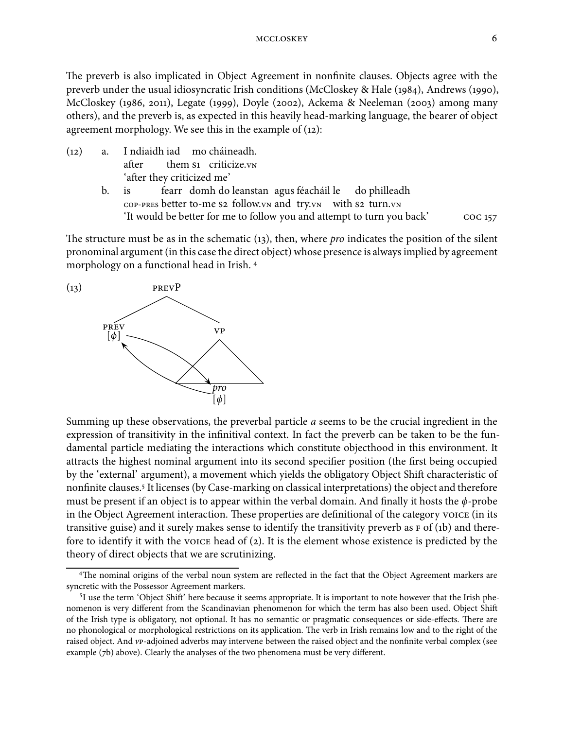The preverb is also implicated in Object Agreement in nonfinite clauses. Objects agree with the preverb under the usual idiosyncratic Irish conditions (McCloskey & Hale (1984), Andrews (1990), McCloskey (1986, 2011), Legate (1999), Doyle (2002), Ackema & Neeleman (2003) among many others), and the preverb is, as expected in this heavily head-marking language, the bearer of object agreement morphology. We see this in the example of  $(12)$ :

- () a. I ndiaidh iad mo cháineadh. after them s1 criticize.vn 'after they criticized me'
	- b. is cop-PRES better to-me s2 follow.vn and try.vn with s2 turn.vn fearr domh do leanstan agus féacháil le do philleadh 'It would be better for me to follow you and attempt to turn you back'

The structure must be as in the schematic  $(i3)$ , then, where *pro* indicates the position of the silent pronominal argument (in this case the direct object) whose presence is always implied by agreement morphology on a functional head in Irish.



Summing up these observations, the preverbal particle a seems to be the crucial ingredient in the expression of transitivity in the infinitival context. In fact the preverb can be taken to be the fundamental particle mediating the interactions which constitute objecthood in this environment. It attracts the highest nominal argument into its second specifier position (the first being occupied by the 'external' argument), a movement which yields the obligatory Object Shift characteristic of nonfinite clauses. It licenses (by Case-marking on classical interpretations) the object and therefore must be present if an object is to appear within the verbal domain. And finally it hosts the  $\phi$ -probe in the Object Agreement interaction. These properties are definitional of the category voice (in its transitive guise) and it surely makes sense to identify the transitivity preverb as  $F$  of (1b) and therefore to identify it with the voice head of  $(2)$ . It is the element whose existence is predicted by the theory of direct objects that we are scrutinizing.

<sup>&</sup>lt;sup>4</sup>The nominal origins of the verbal noun system are reflected in the fact that the Object Agreement markers are syncretic with the Possessor Agreement markers.

<sup>&</sup>lt;sup>5</sup>I use the term 'Object Shift' here because it seems appropriate. It is important to note however that the Irish phenomenon is very different from the Scandinavian phenomenon for which the term has also been used. Object Shi of the Irish type is obligatory, not optional. It has no semantic or pragmatic consequences or side-effects. There are no phonological or morphological restrictions on its application. The verb in Irish remains low and to the right of the raised object. And vp-adjoined adverbs may intervene between the raised object and the nonfinite verbal complex (see example (7b) above). Clearly the analyses of the two phenomena must be very different.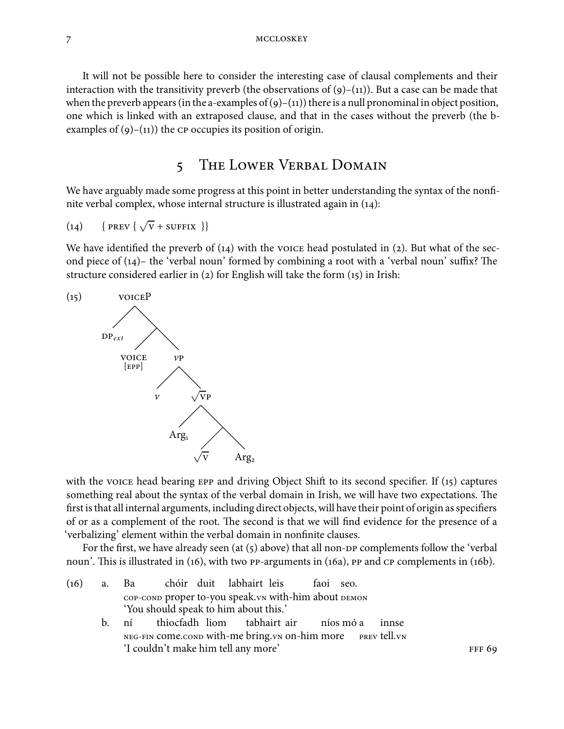It will not be possible here to consider the interesting case of clausal complements and their interaction with the transitivity preverb (the observations of  $(g)$ –(11)). But a case can be made that when the preverb appears (in the a-examples of  $(g)$ –(11)) there is a null pronominal in object position, one which is linked with an extraposed clause, and that in the cases without the preverb (the bexamples of  $(9)$ – $(11)$ ) the  $CP$  occupies its position of origin.

## 5 THE LOWER VERBAL DOMAIN

We have arguably made some progress at this point in better understanding the syntax of the nonfinite verbal complex, whose internal structure is illustrated again in  $(14)$ :

$$
(14) \qquad \{ \text{ PREV} \{ \sqrt{V} + \text{SUFFIX} \} \}
$$

We have identified the preverb of  $(14)$  with the voice head postulated in (2). But what of the second piece of  $(14)$ – the 'verbal noun' formed by combining a root with a 'verbal noun' suffix? The structure considered earlier in (2) for English will take the form  $(15)$  in Irish:



with the voice head bearing  $E$  and driving Object Shift to its second specifier. If (15) captures something real about the syntax of the verbal domain in Irish, we will have two expectations. The first is that all internal arguments, including direct objects, will have their point of origin as specifiers of or as a complement of the root. The second is that we will find evidence for the presence of a 'verbalizing' element within the verbal domain in nonfinite clauses.

For the first, we have already seen (at  $(5)$  above) that all non- $D$  complements follow the 'verbal noun'. This is illustrated in  $(16)$ , with two PP-arguments in  $(16a)$ , PP and  $CP$  complements in  $(16b)$ .

- $(16)$  a. Ba COP-COND proper to-you speak. vn with-him about DEMON chóir duit labhairt leis faoi seo. 'You should speak to him about this.'
	- b. ní NEG-FIN COMe.COND With-me bring.vn on-him more thiocfadh liom tabhairt air níos mó a prev <mark>tell.</mark>vn innse 'I couldn't make him tell any more'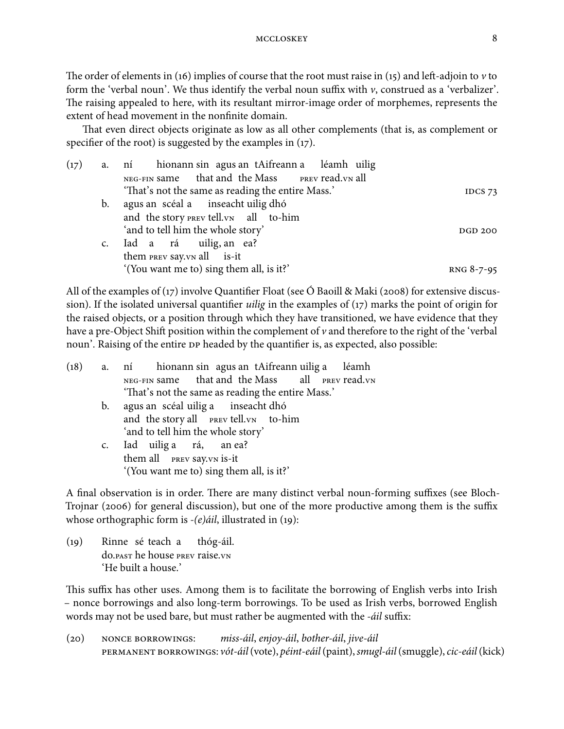The order of elements in (16) implies of course that the root must raise in (15) and left-adjoin to  $\nu$  to form the 'verbal noun'. We thus identify the verbal noun suffix with  $\nu$ , construed as a 'verbalizer'. The raising appealed to here, with its resultant mirror-image order of morphemes, represents the extent of head movement in the nonfinite domain.

That even direct objects originate as low as all other complements (that is, as complement or specifier of the root) is suggested by the examples in  $(17)$ .

| (17) |                | a. ní hionann sin agus an tAifreann a léamh uilig |                |
|------|----------------|---------------------------------------------------|----------------|
|      |                | NEG-FIN same that and the Mass PREV read. VN all  |                |
|      |                | 'That's not the same as reading the entire Mass.' | IDCS $73$      |
|      | $\mathbf{b}$ . | agus an scéal a inseacht uilig dhó                |                |
|      |                | and the story PREV tell. VN all to-him            |                |
|      |                | 'and to tell him the whole story'                 | <b>DGD 200</b> |
|      |                | c. Iad a rá uilig, an ea?                         |                |
|      |                | them PREV Say. VN all is-it                       |                |
|      |                | '(You want me to) sing them all, is it?'          | RNG 8-7-95     |
|      |                |                                                   |                |

All of the examples of  $(17)$  involve Quantifier Float (see O Baoill & Maki (2008) for extensive discussion). If the isolated universal quantifier *uilig* in the examples of  $(17)$  marks the point of origin for the raised objects, or a position through which they have transitioned, we have evidence that they have a pre-Object Shift position within the complement of  $\nu$  and therefore to the right of the 'verbal noun'. Raising of the entire DP headed by the quantifier is, as expected, also possible:

|                | (18) a. ní hionann sin agus an tAifreann uilig a léamh |  |  |  |  |  |  |
|----------------|--------------------------------------------------------|--|--|--|--|--|--|
|                | NEG-FIN same that and the Mass all PREV read. VN       |  |  |  |  |  |  |
|                | 'That's not the same as reading the entire Mass.'      |  |  |  |  |  |  |
| $\mathbf{b}$ . | agus an scéal uilig a inseacht dhó                     |  |  |  |  |  |  |
|                | and the story all <b>PREV</b> tell. VN to-him          |  |  |  |  |  |  |
|                | 'and to tell him the whole story'                      |  |  |  |  |  |  |
|                | c. Iad uilig a rá, an ea?                              |  |  |  |  |  |  |
|                | them all <b>PREV</b> Say. VN is-it                     |  |  |  |  |  |  |
|                | '(You want me to) sing them all, is it?'               |  |  |  |  |  |  |
|                |                                                        |  |  |  |  |  |  |

A final observation is in order. There are many distinct verbal noun-forming suffixes (see Bloch-Trojnar (2006) for general discussion), but one of the more productive among them is the suffix whose orthographic form is  $-(e)$ *ail*, illustrated in (19):

(19) Rinne sé teach a do.past he house prev raise.vn thóg-áil. 'He built a house.'

This suffix has other uses. Among them is to facilitate the borrowing of English verbs into Irish – nonce borrowings and also long-term borrowings. To be used as Irish verbs, borrowed English words may not be used bare, but must rather be augmented with the -*áil* suffix:

 $(20)$  NONCE BORROWINGS: miss-áil, enjoy-áil, bother-áil, jive-áil PERMANENT BORROWINGS: vót-áil (vote), péint-eáil (paint), smugl-áil (smuggle), cic-eáil (kick)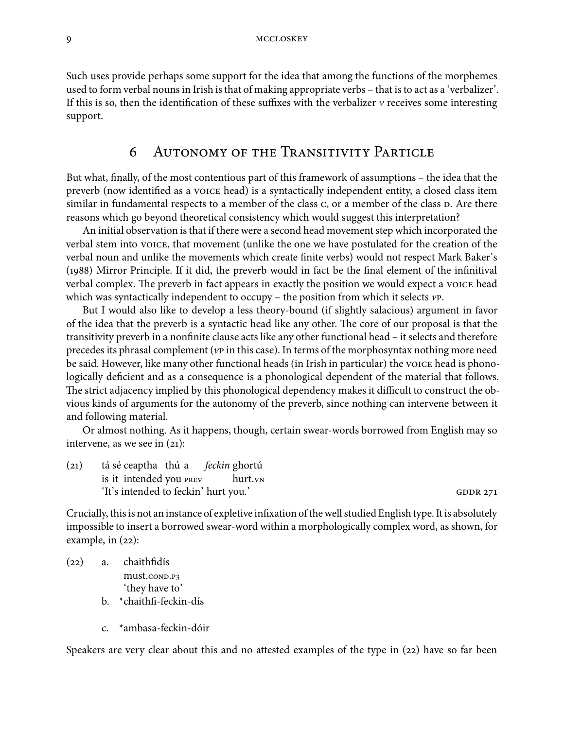Such uses provide perhaps some support for the idea that among the functions of the morphemes used to form verbal nouns in Irish is that of making appropriate verbs – that is to act as a 'verbalizer'. If this is so, then the identification of these suffixes with the verbalizer  $\nu$  receives some interesting support.

#### 6 AUTONOMY OF THE TRANSITIVITY PARTICLE

But what, finally, of the most contentious part of this framework of assumptions – the idea that the preverb (now identified as a voice head) is a syntactically independent entity, a closed class item similar in fundamental respects to a member of the class c, or a member of the class  $D$ . Are there reasons which go beyond theoretical consistency which would suggest this interpretation?

An initial observation is that if there were a second head movement step which incorporated the verbal stem into voice, that movement (unlike the one we have postulated for the creation of the verbal noun and unlike the movements which create finite verbs) would not respect Mark Baker's (1988) Mirror Principle. If it did, the preverb would in fact be the final element of the infinitival verbal complex. The preverb in fact appears in exactly the position we would expect a voice head which was syntactically independent to occupy – the position from which it selects  $\nu$ P.

But I would also like to develop a less theory-bound (if slightly salacious) argument in favor of the idea that the preverb is a syntactic head like any other. The core of our proposal is that the transitivity preverb in a nonfinite clause acts like any other functional head – it selects and therefore precedes its phrasal complement ( $\nu$  in this case). In terms of the morphosyntax nothing more need be said. However, like many other functional heads (in Irish in particular) the voice head is phonologically deficient and as a consequence is a phonological dependent of the material that follows. The strict adjacency implied by this phonological dependency makes it difficult to construct the obvious kinds of arguments for the autonomy of the preverb, since nothing can intervene between it and following material.

Or almost nothing. As it happens, though, certain swear-words borrowed from English may so intervene, as we see in  $(21)$ :

 $(21)$ is it intended you sé ceaptha thú a feckin ghortú hurt.<sub>VN</sub> 'It's intended to feckin' hurt you.'

Crucially, this is not an instance of expletive infixation of the well studied English type. It is absolutely impossible to insert a borrowed swear-word within a morphologically complex word, as shown, for example, in  $(22)$ :

 $(22)$  a. chaithfidís must.conp.p3 'they have to' b. \*chaithfi-feckin-dís

c. \*ambasa-feckin-dóir

Speakers are very clear about this and no attested examples of the type in  $(22)$  have so far been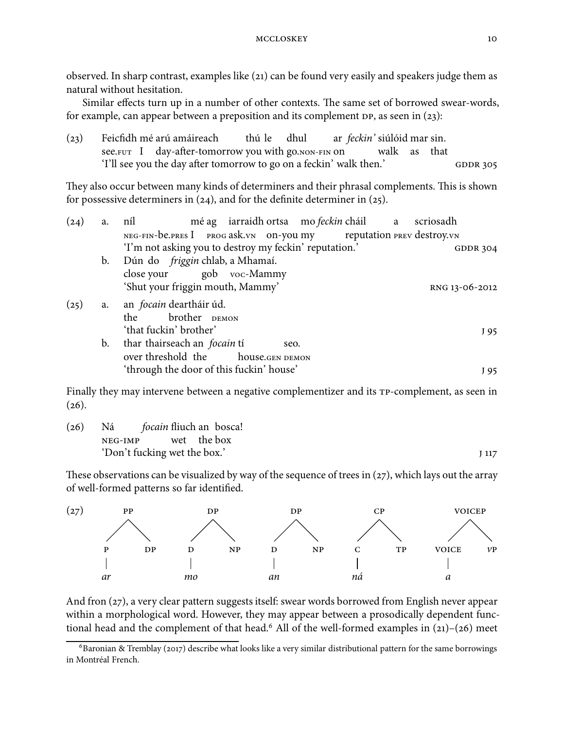observed. In sharp contrast, examples like (21) can be found very easily and speakers judge them as natural without hesitation.

Similar effects turn up in a number of other contexts. The same set of borrowed swear-words, for example, can appear between a preposition and its complement  $DP$ , as seen in (23):

| (23) |                                                                     | Feicfidh mé arú amáireach                             | thú le dhul |  | ar <i>feckin</i> ' siúlóid mar sin. |              |  |  |  |
|------|---------------------------------------------------------------------|-------------------------------------------------------|-------------|--|-------------------------------------|--------------|--|--|--|
|      |                                                                     | see. FUT I day-after-tomorrow you with go. NON-FIN ON |             |  |                                     | walk as that |  |  |  |
|      | 'I'll see you the day after tomorrow to go on a feckin' walk then.' |                                                       |             |  |                                     |              |  |  |  |

They also occur between many kinds of determiners and their phrasal complements. This is shown for possessive determiners in  $(24)$ , and for the definite determiner in  $(25)$ .

| a. | níl                                                    |                |                                                                                                                        |
|----|--------------------------------------------------------|----------------|------------------------------------------------------------------------------------------------------------------------|
|    |                                                        |                |                                                                                                                        |
|    | 'I'm not asking you to destroy my feckin' reputation.' |                | <b>GDDR 304</b>                                                                                                        |
|    | Dún do <i>friggin</i> chlab, a Mhamaí.                 |                |                                                                                                                        |
|    | close your gob voc-Mammy                               |                |                                                                                                                        |
|    | 'Shut your friggin mouth, Mammy'                       |                | RNG 13-06-2012                                                                                                         |
| a. | an <i>focain</i> deartháir úd.                         |                |                                                                                                                        |
|    | the brother DEMON                                      |                |                                                                                                                        |
|    | 'that fuckin' brother'                                 |                | J 95                                                                                                                   |
| b. | thar thairseach an <i>focain</i> tí<br>seo.            |                |                                                                                                                        |
|    | over threshold the house.GEN DEMON                     |                |                                                                                                                        |
|    | 'through the door of this fuckin' house'               |                | J 95                                                                                                                   |
|    |                                                        | $\mathbf{b}$ . | mé ag iarraidh ortsa mo feckin cháil a scriosadh<br>NEG-FIN-be.PRES I PROG ask.vn on-you my reputation PREV destroy.vn |

Finally they may intervene between a negative complementizer and its  $TP$ -complement, as seen in  $(26).$ 

| (26) | Ná <i>focain</i> fliuch an bosca! |  |                  |
|------|-----------------------------------|--|------------------|
|      | NEG-IMP wet the box               |  |                  |
|      | 'Don't fucking wet the box.'      |  | I <sub>117</sub> |

These observations can be visualized by way of the sequence of trees in  $(27)$ , which lays out the array of well-formed patterns so far identified.



And fron (27), a very clear pattern suggests itself: swear words borrowed from English never appear within a morphological word. However, they may appear between a prosodically dependent functional head and the complement of that head.<sup>6</sup> All of the well-formed examples in  $(21)-(26)$  meet

 $6B$ aronian & Tremblay (2017) describe what looks like a very similar distributional pattern for the same borrowings in Montréal French.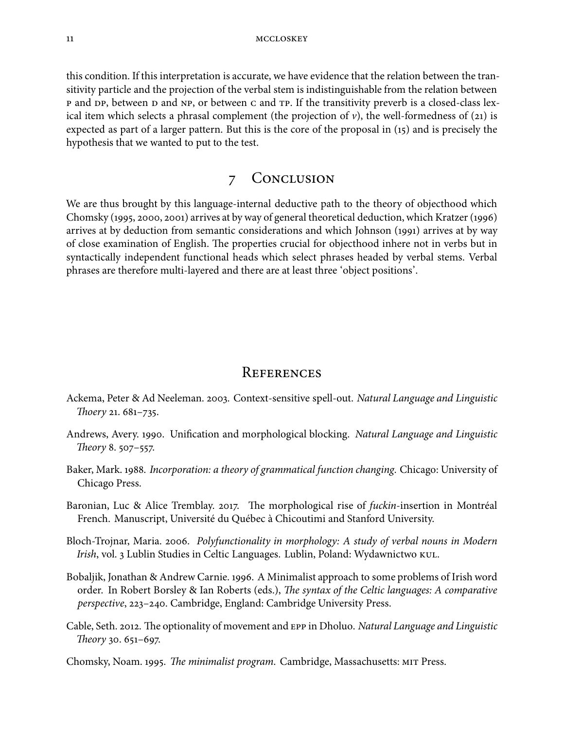this condition. If this interpretation is accurate, we have evidence that the relation between the transitivity particle and the projection of the verbal stem is indistinguishable from the relation between p and DP, between D and NP, or between c and TP. If the transitivity preverb is a closed-class lexical item which selects a phrasal complement (the projection of  $\nu$ ), the well-formedness of (21) is expected as part of a larger pattern. But this is the core of the proposal in  $(i5)$  and is precisely the hypothesis that we wanted to put to the test.

## 7 CONCLUSION

We are thus brought by this language-internal deductive path to the theory of objecthood which Chomsky (1995, 2000, 2001) arrives at by way of general theoretical deduction, which Kratzer (1996) arrives at by deduction from semantic considerations and which Johnson (1991) arrives at by way of close examination of English. The properties crucial for objecthood inhere not in verbs but in syntactically independent functional heads which select phrases headed by verbal stems. Verbal phrases are therefore multi-layered and there are at least three 'object positions'.

#### **REFERENCES**

- Ackema, Peter & Ad Neeleman. 2003. Context-sensitive spell-out. Natural Language and Linguistic Thoery 21.  $681 - 735$ .
- Andrews, Avery. . Unification and morphological blocking. Natural Language and Linguistic Theory 8.  $507 - 557$ .
- Baker, Mark. 1988. Incorporation: a theory of grammatical function changing. Chicago: University of Chicago Press.
- Baronian, Luc & Alice Tremblay. 2017. The morphological rise of  $fuckin$ -insertion in Montréal French. Manuscript, Université du Québec à Chicoutimi and Stanford University.
- Bloch-Trojnar, Maria. 2006. Polyfunctionality in morphology: A study of verbal nouns in Modern Irish, vol. 3 Lublin Studies in Celtic Languages. Lublin, Poland: Wydawnictwo KUL.
- Bobaljik, Jonathan & Andrew Carnie. 1996. A Minimalist approach to some problems of Irish word order. In Robert Borsley & Ian Roberts (eds.), *The syntax of the Celtic languages: A comparative* perspective, 223-240. Cambridge, England: Cambridge University Press.
- Cable, Seth. 2012. The optionality of movement and EPP in Dholuo. Natural Language and Linguistic Theory 30. 651-697.
- Chomsky, Noam. 1995. The minimalist program. Cambridge, Massachusetts: MIT Press.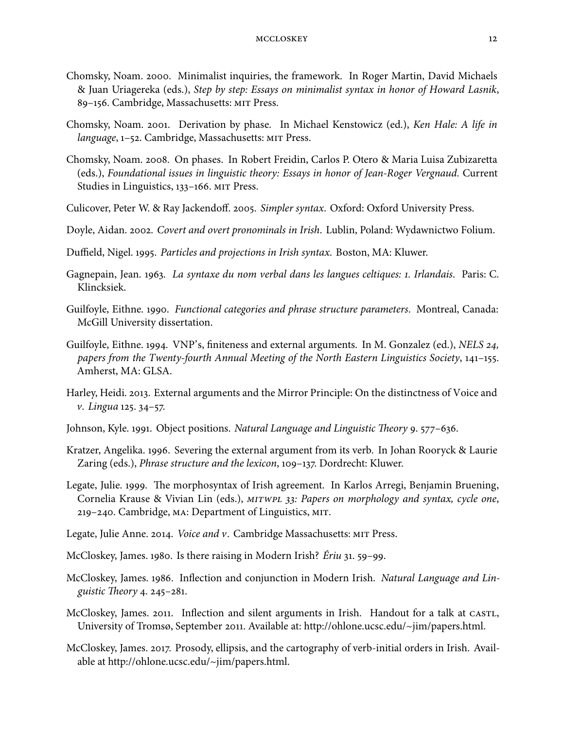- Chomsky, Noam. 2000. Minimalist inquiries, the framework. In Roger Martin, David Michaels & Juan Uriagereka (eds.), Step by step: Essays on minimalist syntax in honor of Howard Lasnik, 89-156. Cambridge, Massachusetts: MIT Press.
- Chomsky, Noam. 2001. Derivation by phase. In Michael Kenstowicz (ed.), Ken Hale: A life in language, 1-52. Cambridge, Massachusetts: MIT Press.
- Chomsky, Noam. 2008. On phases. In Robert Freidin, Carlos P. Otero & Maria Luisa Zubizaretta (eds.), Foundational issues in linguistic theory: Essays in honor of Jean-Roger Vergnaud. Current Studies in Linguistics, 133-166. MIT Press.
- Culicover, Peter W. & Ray Jackendoff. 2005. Simpler syntax. Oxford: Oxford University Press.
- Doyle, Aidan. 2002. Covert and overt pronominals in Irish. Lublin, Poland: Wydawnictwo Folium.
- Duffield, Nigel. 1995. Particles and projections in Irish syntax. Boston, MA: Kluwer.
- Gagnepain, Jean. 1963. La syntaxe du nom verbal dans les langues celtiques: 1. Irlandais. Paris: C. Klincksiek.
- Guilfoyle, Eithne. 1990. Functional categories and phrase structure parameters. Montreal, Canada: McGill University dissertation.
- Guilfoyle, Eithne. 1994. VNP's, finiteness and external arguments. In M. Gonzalez (ed.), *NELS* 24, papers from the Twenty-fourth Annual Meeting of the North Eastern Linguistics Society,  $141-155$ . Amherst, MA: GLSA.
- Harley, Heidi. 2013. External arguments and the Mirror Principle: On the distinctness of Voice and v. Lingua 125. 34-57.
- Johnson, Kyle. 1991. Object positions. Natural Language and Linguistic Theory 9. 577–636.
- Kratzer, Angelika. 1996. Severing the external argument from its verb. In Johan Rooryck & Laurie Zaring (eds.), *Phrase structure and the lexicon*, 109–137. Dordrecht: Kluwer.
- Legate, Julie. 1999. The morphosyntax of Irish agreement. In Karlos Arregi, Benjamin Bruening, Cornelia Krause & Vivian Lin (eds.), MITWPL 33: Papers on morphology and syntax, cycle one, 219–240. Cambridge, MA: Department of Linguistics, MIT.
- Legate, Julie Anne. 2014. *Voice and v.* Cambridge Massachusetts: MIT Press.
- McCloskey, James. 1980. Is there raising in Modern Irish?  $Eriu$  31. 59–99.
- McCloskey, James. 1986. Inflection and conjunction in Modern Irish. Natural Language and Linguistic Theory  $4.245 - 281$ .
- McCloskey, James. 2011. Inflection and silent arguments in Irish. Handout for a talk at CASTL, University of Tromsø, September 2011. Available at: http://ohlone.ucsc.edu/~jim/papers.html.
- McCloskey, James. 2017. Prosody, ellipsis, and the cartography of verb-initial orders in Irish. Available at http://ohlone.ucsc.edu/~jim/papers.html.